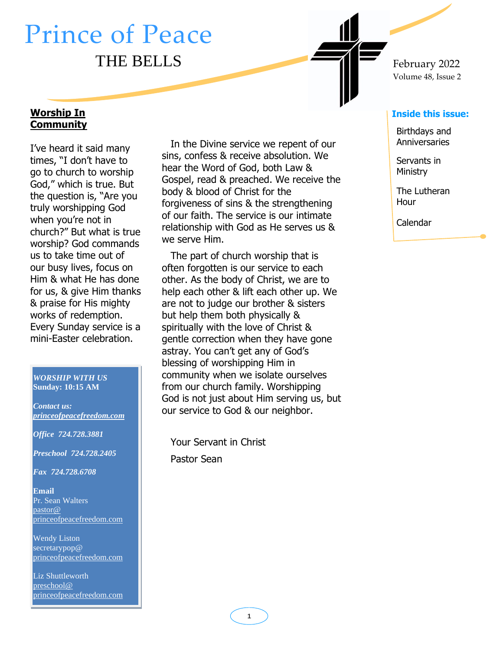# Prince of Peace THE BELLS  $F_{\text{e}b\text{-}1}$   $F_{\text{e}b\text{-}1}$   $F_{\text{e}b\text{-}1}$

#### **Worship In Community**

1. go to church to worship I've heard it said many times, "I don't have to God," which is true. But the question is, "Are you truly worshipping God when you're not in church?" But what is true worship? God commands us to take time out of our busy lives, focus on Him & what He has done for us, & give Him thanks & praise for His mighty works of redemption. Every Sunday service is a mini-Easter celebration.

#### *WORSHIP WITH US* **Sunday: 10:15 AM**

*Contact us: [princeofpeacefreedom.com](http://www.princeofpeacefreedom.com/)*

*Office 724.728.3881*

*Preschool 724.728.2405*

*Fax 724.728.6708*

**Email** Pr. Sean Walters [pastor@](mailto:secretarypop@princeofpeacefreedom.com)  [princeofpeacefreedom.com](mailto:secretarypop@princeofpeacefreedom.com)

Wendy Liston secretarypop@ princeofpeacefreedom.com

Liz Shuttleworth [preschool@](mailto:preschool@princeofpeacefreedom.com)  [princeofpeacefreedom.com](mailto:preschool@princeofpeacefreedom.com)

In the Divine service we repent of our sins, confess & receive absolution. We hear the Word of God, both Law & Gospel, read & preached. We receive the body & blood of Christ for the forgiveness of sins & the strengthening of our faith. The service is our intimate relationship with God as He serves us & we serve Him.

The part of church worship that is often forgotten is our service to each other. As the body of Christ, we are to help each other & lift each other up. We are not to judge our brother & sisters but help them both physically & spiritually with the love of Christ & gentle correction when they have gone astray. You can't get any of God's blessing of worshipping Him in community when we isolate ourselves from our church family. Worshipping God is not just about Him serving us, but our service to God & our neighbor.

Your Servant in Christ Pastor Sean

# Volume 48, Issue 2

#### **Inside this issue:**

Birthdays and **Anniversaries** 

Servants in Ministry

The Lutheran Hour

Calendar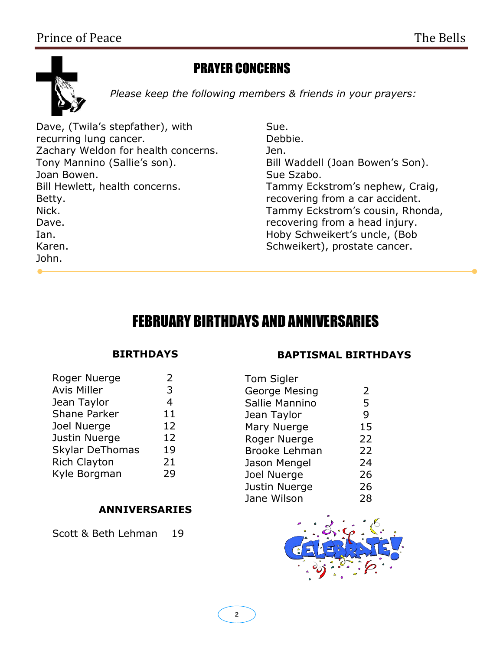

### PRAYER CONCERNS

*Please keep the following members & friends in your prayers:*

Dave, (Twila's stepfather), with recurring lung cancer. Zachary Weldon for health concerns. Tony Mannino (Sallie's son). Joan Bowen. Bill Hewlett, health concerns. Betty. Nick. Dave. Ian. Karen. John.

Sue. Debbie. Jen. Bill Waddell (Joan Bowen's Son). Sue Szabo. Tammy Eckstrom's nephew, Craig, recovering from a car accident. Tammy Eckstrom's cousin, Rhonda, recovering from a head injury. Hoby Schweikert's uncle, (Bob Schweikert), prostate cancer.

## FEBRUARY BIRTHDAYS AND ANNIVERSARIES

#### **BIRTHDAYS**

| Roger Nuerge           | 2  |
|------------------------|----|
| <b>Avis Miller</b>     | 3  |
| Jean Taylor            | 4  |
| <b>Shane Parker</b>    | 11 |
| Joel Nuerge            | 12 |
| Justin Nuerge          | 12 |
| <b>Skylar DeThomas</b> | 19 |
| <b>Rich Clayton</b>    | 21 |
| Kyle Borgman           | 29 |
|                        |    |

#### **ANNIVERSARIES**

Scott & Beth Lehman 19

#### **BAPTISMAL BIRTHDAYS**

| <b>Tom Sigler</b>    |    |
|----------------------|----|
| George Mesing        | 2  |
| Sallie Mannino       | 5  |
| Jean Taylor          | 9  |
| Mary Nuerge          | 15 |
| Roger Nuerge         | 22 |
| <b>Brooke Lehman</b> | 22 |
| Jason Mengel         | 24 |
| Joel Nuerge          | 26 |
| Justin Nuerge        | 26 |
| Jane Wilson          | 28 |
|                      |    |

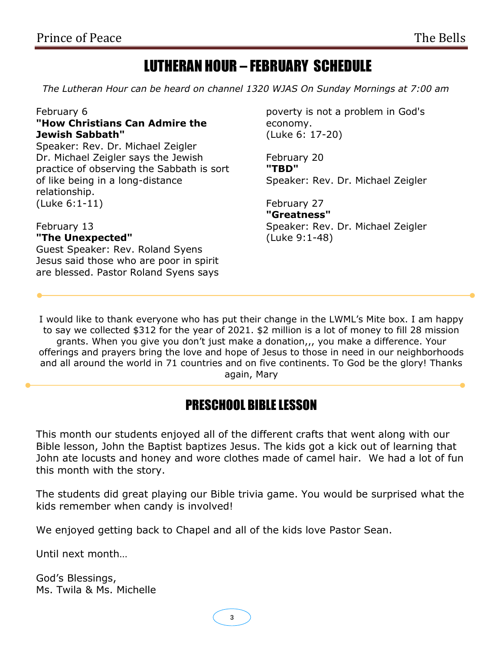## LUTHERAN HOUR – FEBRUARY SCHEDULE

 *The Lutheran Hour can be heard on channel 1320 WJAS On Sunday Mornings at 7:00 am*

#### February 6 **"How Christians Can Admire the Jewish Sabbath"**

Speaker: Rev. Dr. Michael Zeigler Dr. Michael Zeigler says the Jewish practice of observing the Sabbath is sort of like being in a long-distance relationship. (Luke 6:1-11)

#### February 13 **"The Unexpected"**

Guest Speaker: Rev. Roland Syens Jesus said those who are poor in spirit are blessed. Pastor Roland Syens says poverty is not a problem in God's economy. (Luke 6: 17-20)

February 20 **"TBD"** Speaker: Rev. Dr. Michael Zeigler

February 27 **"Greatness"** Speaker: Rev. Dr. Michael Zeigler (Luke 9:1-48)

I would like to thank everyone who has put their change in the LWML's Mite box. I am happy to say we collected \$312 for the year of 2021. \$2 million is a lot of money to fill 28 mission grants. When you give you don't just make a donation, , you make a difference. Your offerings and prayers bring the love and hope of Jesus to those in need in our neighborhoods and all around the world in 71 countries and on five continents. To God be the glory! Thanks again, Mary

### PRESCHOOL BIBLE LESSON

This month our students enjoyed all of the different crafts that went along with our Bible lesson, John the Baptist baptizes Jesus. The kids got a kick out of learning that John ate locusts and honey and wore clothes made of camel hair. We had a lot of fun this month with the story.

The students did great playing our Bible trivia game. You would be surprised what the kids remember when candy is involved!

We enjoyed getting back to Chapel and all of the kids love Pastor Sean.

Until next month…

God's Blessings, Ms. Twila & Ms. Michelle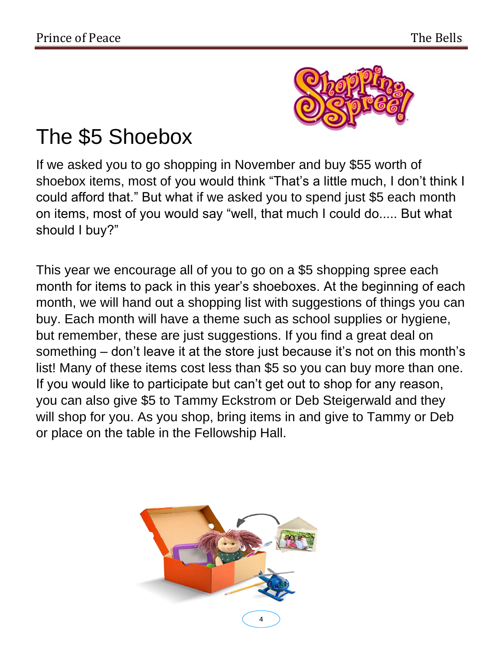

# The \$5 Shoebox

If we asked you to go shopping in November and buy \$55 worth of shoebox items, most of you would think "That's a little much, I don't think I could afford that." But what if we asked you to spend just \$5 each month on items, most of you would say "well, that much I could do..... But what should I buy?"

This year we encourage all of you to go on a \$5 shopping spree each month for items to pack in this year's shoeboxes. At the beginning of each month, we will hand out a shopping list with suggestions of things you can buy. Each month will have a theme such as school supplies or hygiene, but remember, these are just suggestions. If you find a great deal on something – don't leave it at the store just because it's not on this month's list! Many of these items cost less than \$5 so you can buy more than one. If you would like to participate but can't get out to shop for any reason, you can also give \$5 to Tammy Eckstrom or Deb Steigerwald and they will shop for you. As you shop, bring items in and give to Tammy or Deb or place on the table in the Fellowship Hall.

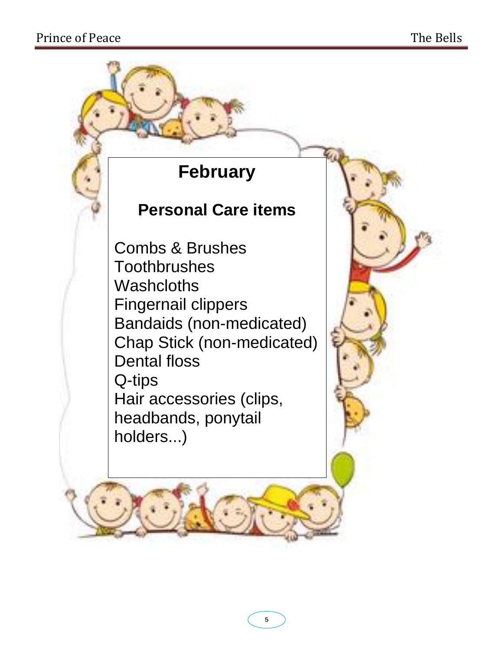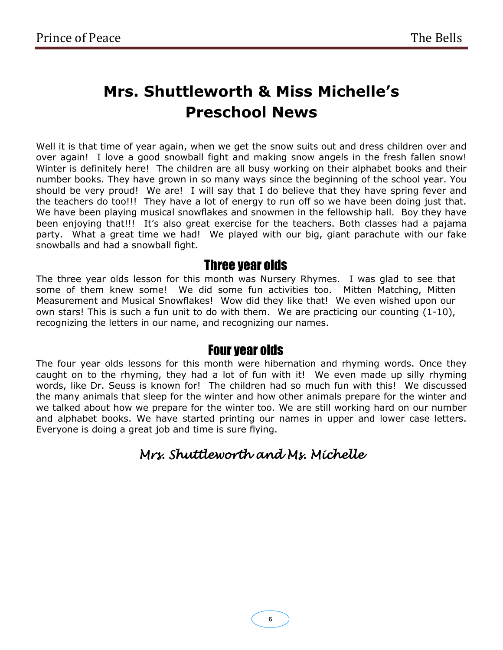# **Mrs. Shuttleworth & Miss Michelle's Preschool News**

Well it is that time of year again, when we get the snow suits out and dress children over and over again! I love a good snowball fight and making snow angels in the fresh fallen snow! Winter is definitely here! The children are all busy working on their alphabet books and their number books. They have grown in so many ways since the beginning of the school year. You should be very proud! We are! I will say that I do believe that they have spring fever and the teachers do too!!! They have a lot of energy to run off so we have been doing just that. We have been playing musical snowflakes and snowmen in the fellowship hall. Boy they have been enjoying that!!! It's also great exercise for the teachers. Both classes had a pajama party. What a great time we had! We played with our big, giant parachute with our fake snowballs and had a snowball fight.

### Three year olds

The three year olds lesson for this month was Nursery Rhymes. I was glad to see that some of them knew some! We did some fun activities too. Mitten Matching, Mitten Measurement and Musical Snowflakes! Wow did they like that! We even wished upon our own stars! This is such a fun unit to do with them. We are practicing our counting (1-10), recognizing the letters in our name, and recognizing our names.

### Four year olds

The four year olds lessons for this month were hibernation and rhyming words. Once they caught on to the rhyming, they had a lot of fun with it! We even made up silly rhyming words, like Dr. Seuss is known for! The children had so much fun with this! We discussed the many animals that sleep for the winter and how other animals prepare for the winter and we talked about how we prepare for the winter too. We are still working hard on our number and alphabet books. We have started printing our names in upper and lower case letters. Everyone is doing a great job and time is sure flying.

### *Mrs. Shuttleworth and Ms. Michelle*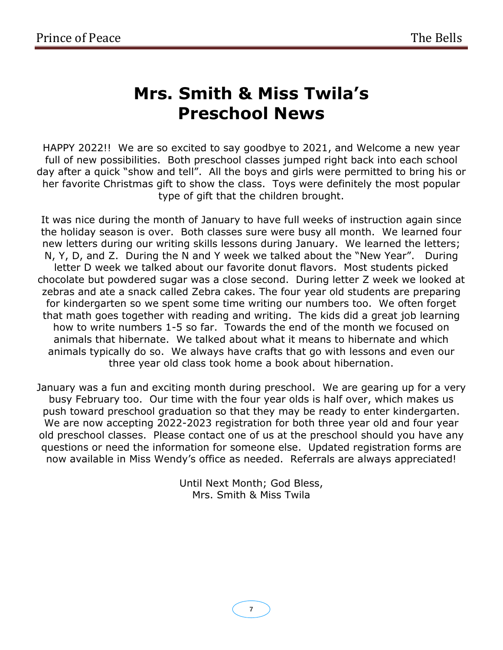# **Mrs. Smith & Miss Twila's Preschool News**

HAPPY 2022!! We are so excited to say goodbye to 2021, and Welcome a new year full of new possibilities. Both preschool classes jumped right back into each school day after a quick "show and tell". All the boys and girls were permitted to bring his or her favorite Christmas gift to show the class. Toys were definitely the most popular type of gift that the children brought.

It was nice during the month of January to have full weeks of instruction again since the holiday season is over. Both classes sure were busy all month. We learned four new letters during our writing skills lessons during January. We learned the letters; N, Y, D, and Z. During the N and Y week we talked about the "New Year". During letter D week we talked about our favorite donut flavors. Most students picked chocolate but powdered sugar was a close second. During letter Z week we looked at zebras and ate a snack called Zebra cakes. The four year old students are preparing for kindergarten so we spent some time writing our numbers too. We often forget that math goes together with reading and writing. The kids did a great job learning how to write numbers 1-5 so far. Towards the end of the month we focused on animals that hibernate. We talked about what it means to hibernate and which animals typically do so. We always have crafts that go with lessons and even our three year old class took home a book about hibernation.

January was a fun and exciting month during preschool. We are gearing up for a very busy February too. Our time with the four year olds is half over, which makes us push toward preschool graduation so that they may be ready to enter kindergarten. We are now accepting 2022-2023 registration for both three year old and four year old preschool classes. Please contact one of us at the preschool should you have any questions or need the information for someone else. Updated registration forms are now available in Miss Wendy's office as needed. Referrals are always appreciated!

> Until Next Month; God Bless, Mrs. Smith & Miss Twila